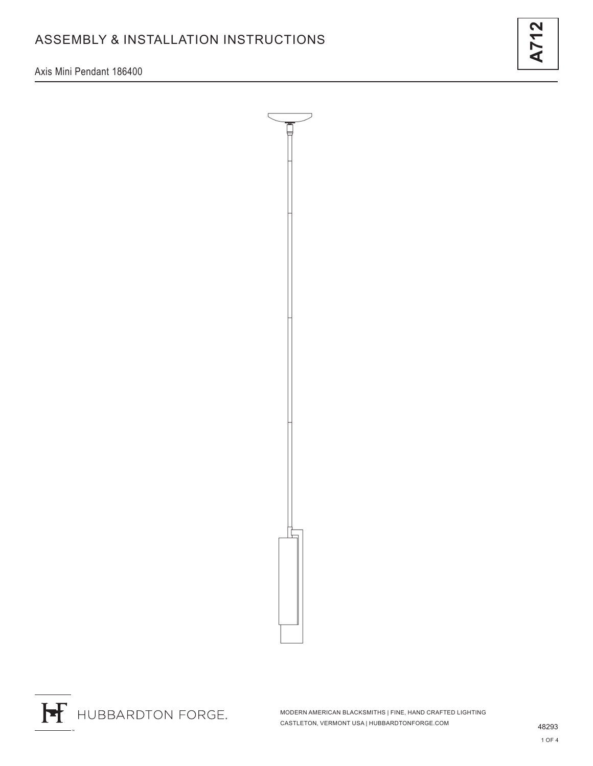Axis Mini Pendant 186400





H HUBBARDTON FORGE.

MODERN AMERICAN BLACKSMITHS | FINE, HAND CRAFTED LIGHTING CASTLETON, VERMONT USA | HUBBARDTONFORGE.COM 48293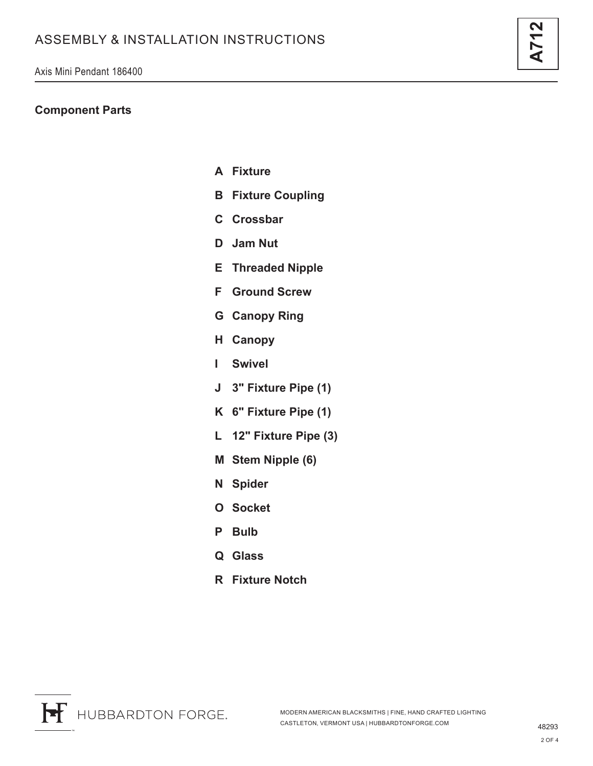## **Component Parts**

- **A Fixture**
- **B Fixture Coupling**
- **C Crossbar**
- **D Jam Nut**
- **E Threaded Nipple**
- **F Ground Screw**
- **G Canopy Ring**
- **H Canopy**
- **I Swivel**
- **J 3" Fixture Pipe (1)**
- **K 6" Fixture Pipe (1)**
- **L 12" Fixture Pipe (3)**
- **M Stem Nipple (6)**
- **N Spider**
- **O Socket**
- **P Bulb**
- **Q Glass**
- **R Fixture Notch**

**A712**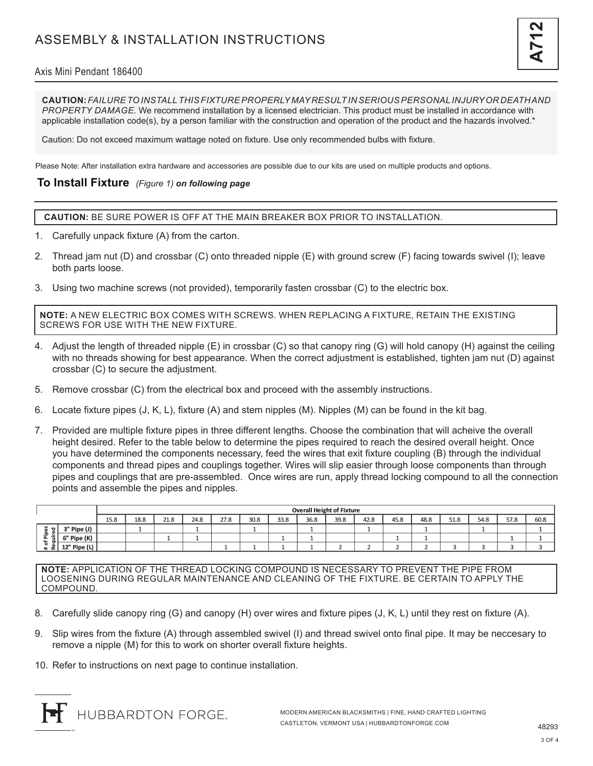### Axis Mini Pendant 186400

**CAUTION:** *FAILURE TO INSTALL THIS FIXTURE PROPERLY MAY RESULT IN SERIOUS PERSONAL INJURY OR DEATH AND PROPERTY DAMAGE.* We recommend installation by a licensed electrician. This product must be installed in accordance with applicable installation code(s), by a person familiar with the construction and operation of the product and the hazards involved.\*

Caution: Do not exceed maximum wattage noted on fixture. Use only recommended bulbs with fixture.

Please Note: After installation extra hardware and accessories are possible due to our kits are used on multiple products and options.

#### **To Install Fixture** *(Figure 1) on following page*

**CAUTION:** BE SURE POWER IS OFF AT THE MAIN BREAKER BOX PRIOR TO INSTALLATION.

- 1. Carefully unpack fixture (A) from the carton.
- 2. Thread jam nut (D) and crossbar (C) onto threaded nipple (E) with ground screw (F) facing towards swivel (I); leave both parts loose.
- 3. Using two machine screws (not provided), temporarily fasten crossbar (C) to the electric box.

**NOTE:** A NEW ELECTRIC BOX COMES WITH SCREWS. WHEN REPLACING A FIXTURE, RETAIN THE EXISTING SCREWS FOR USE WITH THE NEW FIXTURE.

- 4. Adjust the length of threaded nipple (E) in crossbar (C) so that canopy ring (G) will hold canopy (H) against the ceiling with no threads showing for best appearance. When the correct adjustment is established, tighten jam nut (D) against crossbar (C) to secure the adjustment.
- 5. Remove crossbar (C) from the electrical box and proceed with the assembly instructions.
- 6. Locate fixture pipes (J, K, L), fixture (A) and stem nipples (M). Nipples (M) can be found in the kit bag.
- 7. Provided are multiple fixture pipes in three different lengths. Choose the combination that will acheive the overall height desired. Refer to the table below to determine the pipes required to reach the desired overall height. Once you have determined the components necessary, feed the wires that exit fixture coupling (B) through the individual components and thread pipes and couplings together. Wires will slip easier through loose components than through pipes and couplings that are pre-assembled. Once wires are run, apply thread locking compound to all the connection points and assemble the pipes and nipples.

|                                                     |                | <b>Overall Height of Fixture</b> |      |      |      |      |      |      |      |      |      |      |      |      |      |      |      |
|-----------------------------------------------------|----------------|----------------------------------|------|------|------|------|------|------|------|------|------|------|------|------|------|------|------|
|                                                     |                | 15.8                             | 18.8 | 21.8 | 24.8 | 27.8 | 30.8 | 33.8 | 36.8 | 39.8 | 42.8 | 45.8 | 48.8 | 51.8 | 54.8 | 57.8 | 60.8 |
| ਨ।<br>-요<br>≔<br>௨<br>$\overline{\phantom{a}}$<br>∝ | Pipe (J)<br>-2 |                                  |      |      |      |      |      |      |      |      |      |      |      |      |      |      |      |
|                                                     | 6" Pipe (K)    |                                  |      |      |      |      |      |      |      |      |      |      |      |      |      |      |      |
|                                                     | 12" Pipe $(L)$ |                                  |      |      |      |      |      |      |      |      |      |      |      |      |      |      |      |

**NOTE:** APPLICATION OF THE THREAD LOCKING COMPOUND IS NECESSARY TO PREVENT THE PIPE FROM LOOSENING DURING REGULAR MAINTENANCE AND CLEANING OF THE FIXTURE. BE CERTAIN TO APPLY THE COMPOUND.

- 8. Carefully slide canopy ring (G) and canopy (H) over wires and fixture pipes (J, K, L) until they rest on fixture (A).
- 9. Slip wires from the fixture (A) through assembled swivel (I) and thread swivel onto final pipe. It may be neccesary to remove a nipple (M) for this to work on shorter overall fixture heights.
- 10. Refer to instructions on next page to continue installation.